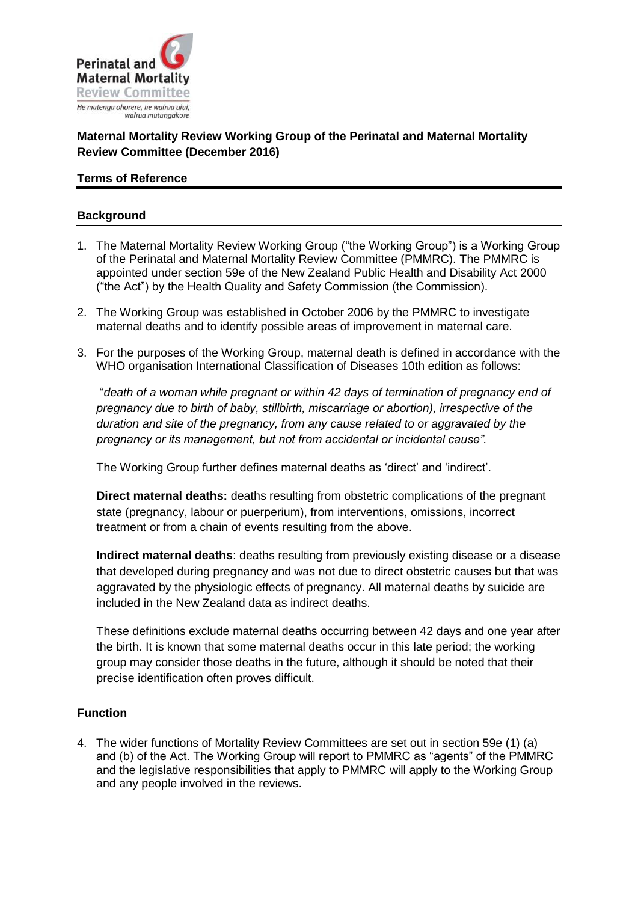

# **Maternal Mortality Review Working Group of the Perinatal and Maternal Mortality Review Committee (December 2016)**

# **Terms of Reference**

# **Background**

- 1. The Maternal Mortality Review Working Group ("the Working Group") is a Working Group of the Perinatal and Maternal Mortality Review Committee (PMMRC). The PMMRC is appointed under section 59e of the New Zealand Public Health and Disability Act 2000 ("the Act") by the Health Quality and Safety Commission (the Commission).
- 2. The Working Group was established in October 2006 by the PMMRC to investigate maternal deaths and to identify possible areas of improvement in maternal care.
- 3. For the purposes of the Working Group, maternal death is defined in accordance with the WHO organisation International Classification of Diseases 10th edition as follows:

"*death of a woman while pregnant or within 42 days of termination of pregnancy end of pregnancy due to birth of baby, stillbirth, miscarriage or abortion), irrespective of the duration and site of the pregnancy, from any cause related to or aggravated by the pregnancy or its management, but not from accidental or incidental cause".*

The Working Group further defines maternal deaths as 'direct' and 'indirect'.

**Direct maternal deaths:** deaths resulting from obstetric complications of the pregnant state (pregnancy, labour or puerperium), from interventions, omissions, incorrect treatment or from a chain of events resulting from the above.

**Indirect maternal deaths**: deaths resulting from previously existing disease or a disease that developed during pregnancy and was not due to direct obstetric causes but that was aggravated by the physiologic effects of pregnancy. All maternal deaths by suicide are included in the New Zealand data as indirect deaths.

These definitions exclude maternal deaths occurring between 42 days and one year after the birth. It is known that some maternal deaths occur in this late period; the working group may consider those deaths in the future, although it should be noted that their precise identification often proves difficult.

# **Function**

4. The wider functions of Mortality Review Committees are set out in section 59e (1) (a) and (b) of the Act. The Working Group will report to PMMRC as "agents" of the PMMRC and the legislative responsibilities that apply to PMMRC will apply to the Working Group and any people involved in the reviews.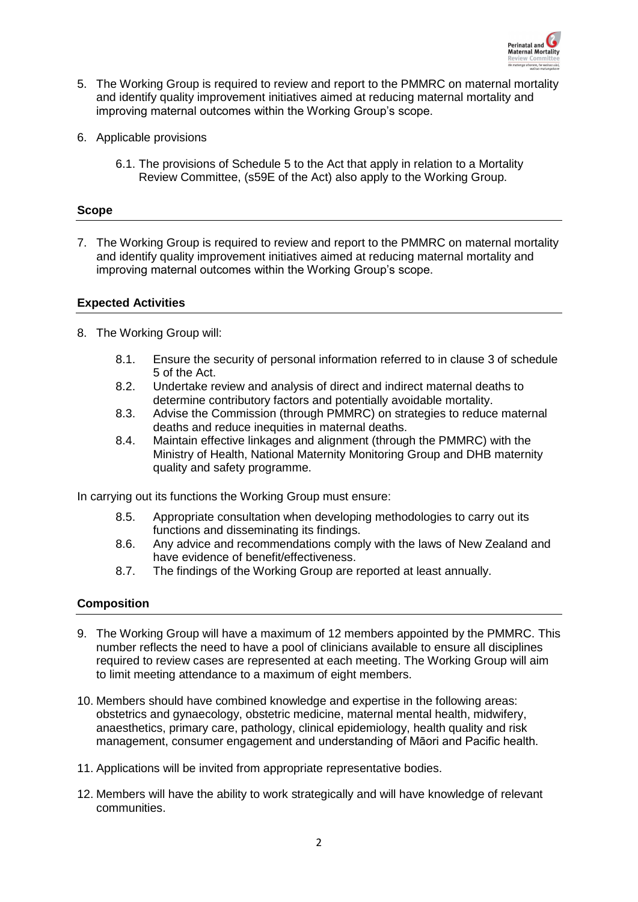

- 5. The Working Group is required to review and report to the PMMRC on maternal mortality and identify quality improvement initiatives aimed at reducing maternal mortality and improving maternal outcomes within the Working Group's scope.
- 6. Applicable provisions
	- 6.1. The provisions of Schedule 5 to the Act that apply in relation to a Mortality Review Committee, (s59E of the Act) also apply to the Working Group.

#### **Scope**

7. The Working Group is required to review and report to the PMMRC on maternal mortality and identify quality improvement initiatives aimed at reducing maternal mortality and improving maternal outcomes within the Working Group's scope.

#### **Expected Activities**

- 8. The Working Group will:
	- 8.1. Ensure the security of personal information referred to in clause 3 of schedule 5 of the Act.
	- 8.2. Undertake review and analysis of direct and indirect maternal deaths to determine contributory factors and potentially avoidable mortality.
	- 8.3. Advise the Commission (through PMMRC) on strategies to reduce maternal deaths and reduce inequities in maternal deaths.
	- 8.4. Maintain effective linkages and alignment (through the PMMRC) with the Ministry of Health, National Maternity Monitoring Group and DHB maternity quality and safety programme.

In carrying out its functions the Working Group must ensure:

- 8.5. Appropriate consultation when developing methodologies to carry out its functions and disseminating its findings.
- 8.6. Any advice and recommendations comply with the laws of New Zealand and have evidence of benefit/effectiveness.
- 8.7. The findings of the Working Group are reported at least annually.

# **Composition**

- 9. The Working Group will have a maximum of 12 members appointed by the PMMRC. This number reflects the need to have a pool of clinicians available to ensure all disciplines required to review cases are represented at each meeting. The Working Group will aim to limit meeting attendance to a maximum of eight members.
- 10. Members should have combined knowledge and expertise in the following areas: obstetrics and gynaecology, obstetric medicine, maternal mental health, midwifery, anaesthetics, primary care, pathology, clinical epidemiology, health quality and risk management, consumer engagement and understanding of Māori and Pacific health.
- 11. Applications will be invited from appropriate representative bodies.
- 12. Members will have the ability to work strategically and will have knowledge of relevant communities.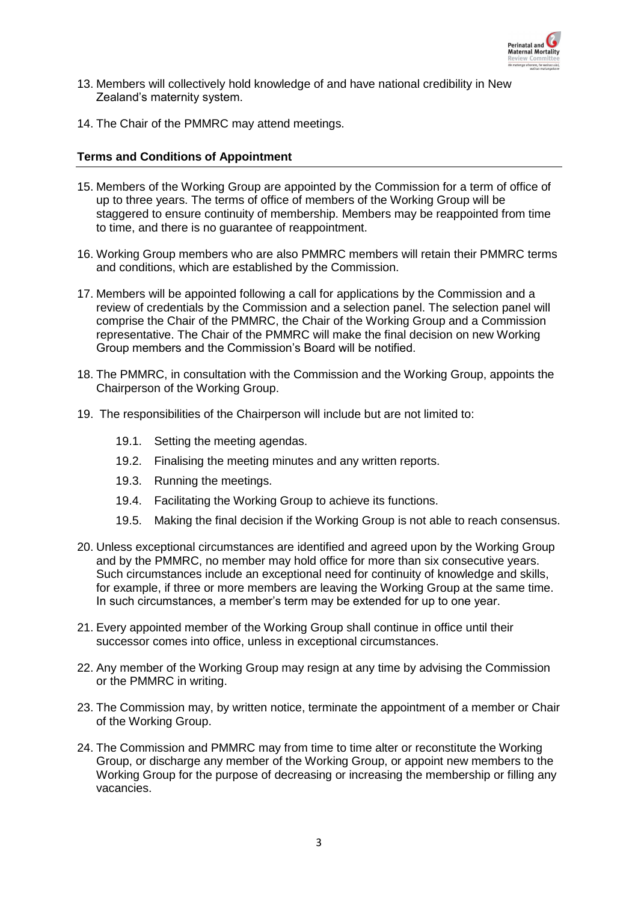

- 13. Members will collectively hold knowledge of and have national credibility in New Zealand's maternity system.
- 14. The Chair of the PMMRC may attend meetings.

### **Terms and Conditions of Appointment**

- 15. Members of the Working Group are appointed by the Commission for a term of office of up to three years. The terms of office of members of the Working Group will be staggered to ensure continuity of membership. Members may be reappointed from time to time, and there is no guarantee of reappointment.
- 16. Working Group members who are also PMMRC members will retain their PMMRC terms and conditions, which are established by the Commission.
- 17. Members will be appointed following a call for applications by the Commission and a review of credentials by the Commission and a selection panel. The selection panel will comprise the Chair of the PMMRC, the Chair of the Working Group and a Commission representative. The Chair of the PMMRC will make the final decision on new Working Group members and the Commission's Board will be notified.
- 18. The PMMRC, in consultation with the Commission and the Working Group, appoints the Chairperson of the Working Group.
- 19. The responsibilities of the Chairperson will include but are not limited to:
	- 19.1. Setting the meeting agendas.
	- 19.2. Finalising the meeting minutes and any written reports.
	- 19.3. Running the meetings.
	- 19.4. Facilitating the Working Group to achieve its functions.
	- 19.5. Making the final decision if the Working Group is not able to reach consensus.
- 20. Unless exceptional circumstances are identified and agreed upon by the Working Group and by the PMMRC, no member may hold office for more than six consecutive years. Such circumstances include an exceptional need for continuity of knowledge and skills, for example, if three or more members are leaving the Working Group at the same time. In such circumstances, a member's term may be extended for up to one year.
- 21. Every appointed member of the Working Group shall continue in office until their successor comes into office, unless in exceptional circumstances.
- 22. Any member of the Working Group may resign at any time by advising the Commission or the PMMRC in writing.
- 23. The Commission may, by written notice, terminate the appointment of a member or Chair of the Working Group.
- 24. The Commission and PMMRC may from time to time alter or reconstitute the Working Group, or discharge any member of the Working Group, or appoint new members to the Working Group for the purpose of decreasing or increasing the membership or filling any vacancies.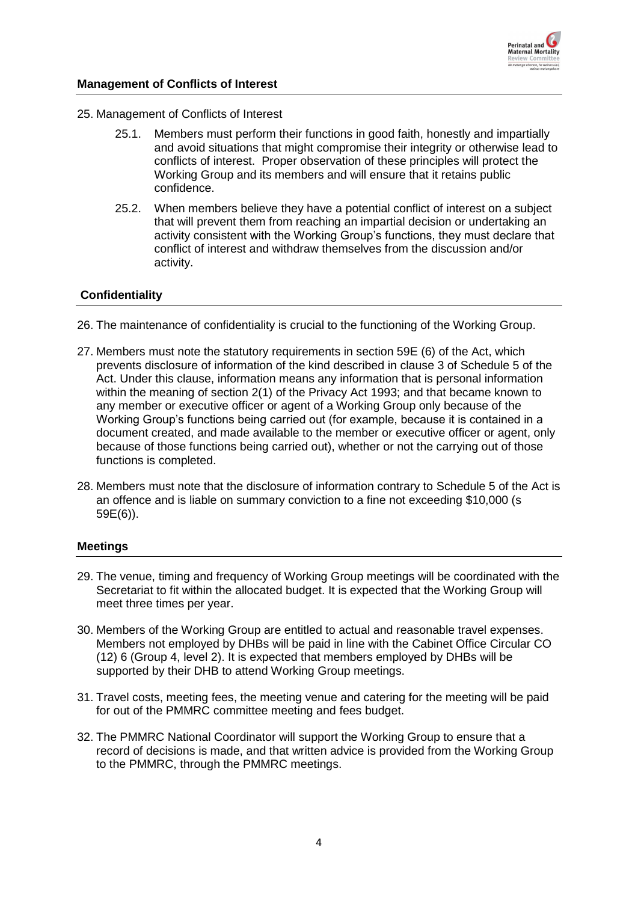

# **Management of Conflicts of Interest**

- 25. Management of Conflicts of Interest
	- 25.1. Members must perform their functions in good faith, honestly and impartially and avoid situations that might compromise their integrity or otherwise lead to conflicts of interest. Proper observation of these principles will protect the Working Group and its members and will ensure that it retains public confidence.
	- 25.2. When members believe they have a potential conflict of interest on a subject that will prevent them from reaching an impartial decision or undertaking an activity consistent with the Working Group's functions, they must declare that conflict of interest and withdraw themselves from the discussion and/or activity.

# **Confidentiality**

- 26. The maintenance of confidentiality is crucial to the functioning of the Working Group.
- 27. Members must note the statutory requirements in section 59E (6) of the Act, which prevents disclosure of information of the kind described in clause 3 of Schedule 5 of the Act. Under this clause, information means any information that is personal information within the meaning of section 2(1) of the Privacy Act 1993; and that became known to any member or executive officer or agent of a Working Group only because of the Working Group's functions being carried out (for example, because it is contained in a document created, and made available to the member or executive officer or agent, only because of those functions being carried out), whether or not the carrying out of those functions is completed.
- 28. Members must note that the disclosure of information contrary to Schedule 5 of the Act is an offence and is liable on summary conviction to a fine not exceeding \$10,000 (s 59E(6)).

# **Meetings**

- 29. The venue, timing and frequency of Working Group meetings will be coordinated with the Secretariat to fit within the allocated budget. It is expected that the Working Group will meet three times per year.
- 30. Members of the Working Group are entitled to actual and reasonable travel expenses. Members not employed by DHBs will be paid in line with the Cabinet Office Circular CO (12) 6 (Group 4, level 2). It is expected that members employed by DHBs will be supported by their DHB to attend Working Group meetings.
- 31. Travel costs, meeting fees, the meeting venue and catering for the meeting will be paid for out of the PMMRC committee meeting and fees budget.
- 32. The PMMRC National Coordinator will support the Working Group to ensure that a record of decisions is made, and that written advice is provided from the Working Group to the PMMRC, through the PMMRC meetings.